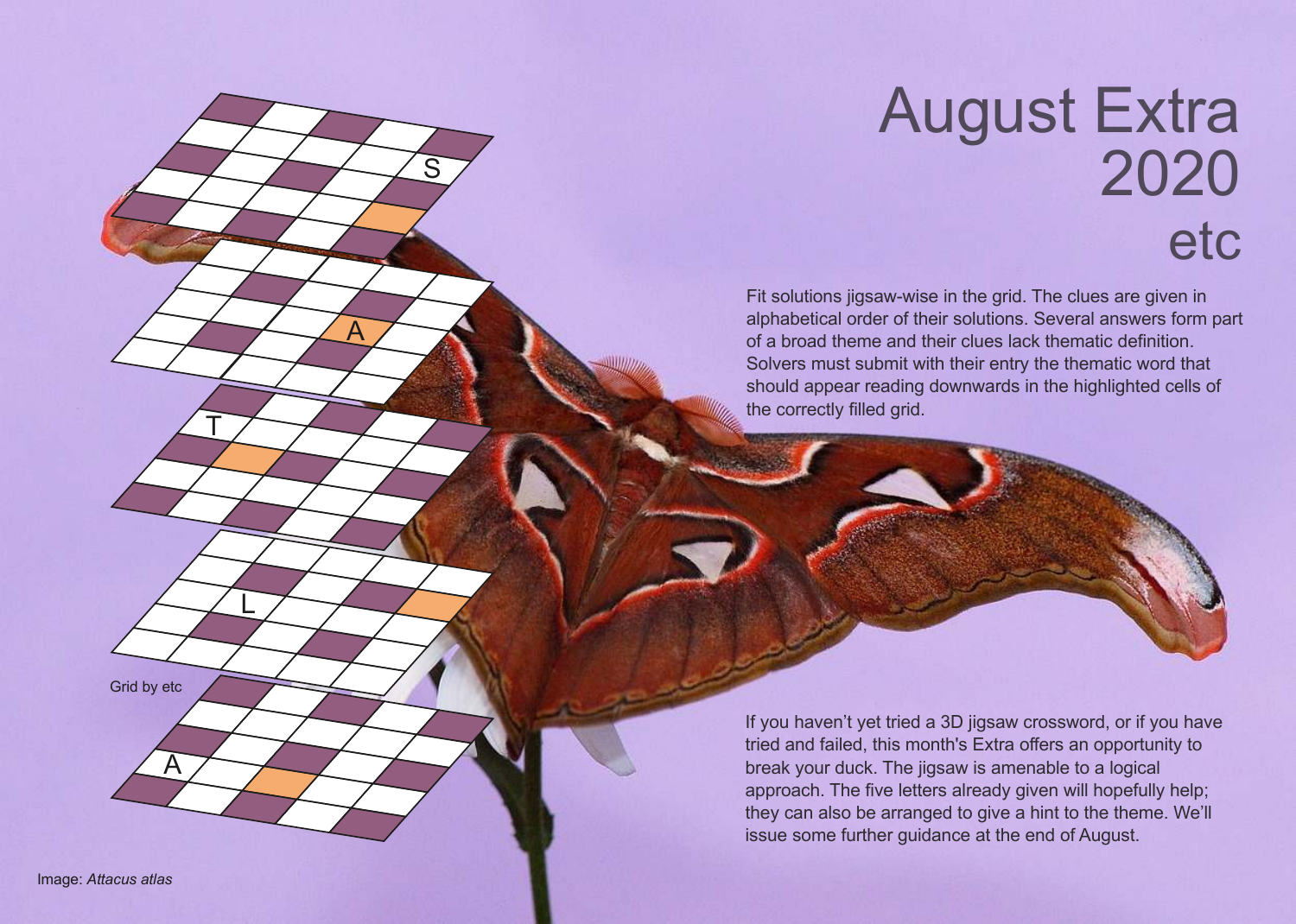## August Extra 2020 etc

Fit solutions jigsaw-wise in the grid. The clues are given in alphabetical order of their solutions. Several answers form part of a broad theme and their clues lack thematic definition. Solvers must submit with their entry the thematic word that should appear reading downwards in the highlighted cells of the correctly filled grid.

Grid by etc

 $\underline{\mathsf{A}}$ 

T

L

S

 ${\underline{\mathsf{A}}}$ 

If you haven't yet tried a 3D jigsaw crossword, or if you have tried and failed, this month's Extra offers an opportunity to break your duck. The jigsaw is amenable to a logical approach. The five letters already given will hopefully help; they can also be arranged to give a hint to the theme. We'll issue some further guidance at the end of August.